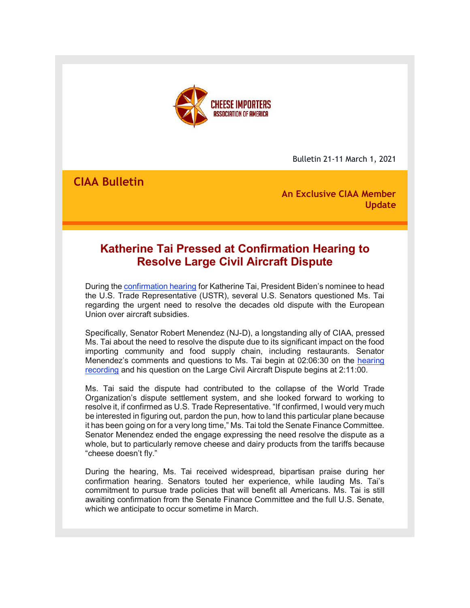

Bulletin 21-11 March 1, 2021

**CIAA Bulletin**

**An Exclusive CIAA Member Update**

# **Katherine Tai Pressed at Confirmation Hearing to Resolve Large Civil Aircraft Dispute**

During the [confirmation hearing](http://r20.rs6.net/tn.jsp?f=001f7GspQx1S8A9fmqZsiFYS6Tcnn-i8NhnyPgnZKrPjFqc8iehwk6-IKJgbeEvTsr9A5QUa3is5sjXqtd9Nqdb8ssBLvxYSMDRucqHd-VRStAOeeMJ1XrJUuR7YfkcEfx_TynY_8SlQ_UlCBrUzkyQnMyEXfpqaeOAsKAfjXnu-guDiNNxjaZTMgLoHRZe9wpVeMe38mnQquitI3dRcrosbS5lZ__nY9JkDRCJn5yX8rwoSGHjxa1zW15ZfpBqpTAwpglNjJ3eiJITP-l_oHYz9tSU5IAgaX6xdXUDDwHVVCp_9IDnxmWYXmd3FhnXIOAMjI3_Za2PwiaZsHXhOIz6gQI3sYBbHwKM9z9IfWob-SpMpoQXP9armQeyvwwC0BlHldljWv3AiixC9CGaM8EpRlwycLTlSprT&c=5aQeG_i7UldGycjpOwrxNISAlg36-QKQWFn_JtAipRjlrqApaS4VDw==&ch=ADZK_jHCTxH1UrUxPooeuimOr5yAiwYo2keposc7XTJWU1010lYILA==) for Katherine Tai, President Biden's nominee to head the U.S. Trade Representative (USTR), several U.S. Senators questioned Ms. Tai regarding the urgent need to resolve the decades old dispute with the European Union over aircraft subsidies.

Specifically, Senator Robert Menendez (NJ-D), a longstanding ally of CIAA, pressed Ms. Tai about the need to resolve the dispute due to its significant impact on the food importing community and food supply chain, including restaurants. Senator Menendez's comments and questions to Ms. Tai begin at 02:06:30 on the [hearing](http://r20.rs6.net/tn.jsp?f=001f7GspQx1S8A9fmqZsiFYS6Tcnn-i8NhnyPgnZKrPjFqc8iehwk6-IKJgbeEvTsr9A5QUa3is5sjXqtd9Nqdb8ssBLvxYSMDRucqHd-VRStAOeeMJ1XrJUuR7YfkcEfx_TynY_8SlQ_UlCBrUzkyQnMyEXfpqaeOAsKAfjXnu-guDiNNxjaZTMgLoHRZe9wpVeMe38mnQquitI3dRcrosbS5lZ__nY9JkDRCJn5yX8rwoSGHjxa1zW15ZfpBqpTAwpglNjJ3eiJITP-l_oHYz9tSU5IAgaX6xdXUDDwHVVCp_9IDnxmWYXmd3FhnXIOAMjI3_Za2PwiaZsHXhOIz6gQI3sYBbHwKM9z9IfWob-SpMpoQXP9armQeyvwwC0BlHldljWv3AiixC9CGaM8EpRlwycLTlSprT&c=5aQeG_i7UldGycjpOwrxNISAlg36-QKQWFn_JtAipRjlrqApaS4VDw==&ch=ADZK_jHCTxH1UrUxPooeuimOr5yAiwYo2keposc7XTJWU1010lYILA==)  [recording](http://r20.rs6.net/tn.jsp?f=001f7GspQx1S8A9fmqZsiFYS6Tcnn-i8NhnyPgnZKrPjFqc8iehwk6-IKJgbeEvTsr9A5QUa3is5sjXqtd9Nqdb8ssBLvxYSMDRucqHd-VRStAOeeMJ1XrJUuR7YfkcEfx_TynY_8SlQ_UlCBrUzkyQnMyEXfpqaeOAsKAfjXnu-guDiNNxjaZTMgLoHRZe9wpVeMe38mnQquitI3dRcrosbS5lZ__nY9JkDRCJn5yX8rwoSGHjxa1zW15ZfpBqpTAwpglNjJ3eiJITP-l_oHYz9tSU5IAgaX6xdXUDDwHVVCp_9IDnxmWYXmd3FhnXIOAMjI3_Za2PwiaZsHXhOIz6gQI3sYBbHwKM9z9IfWob-SpMpoQXP9armQeyvwwC0BlHldljWv3AiixC9CGaM8EpRlwycLTlSprT&c=5aQeG_i7UldGycjpOwrxNISAlg36-QKQWFn_JtAipRjlrqApaS4VDw==&ch=ADZK_jHCTxH1UrUxPooeuimOr5yAiwYo2keposc7XTJWU1010lYILA==) and his question on the Large Civil Aircraft Dispute begins at 2:11:00.

Ms. Tai said the dispute had contributed to the collapse of the World Trade Organization's dispute settlement system, and she looked forward to working to resolve it, if confirmed as U.S. Trade Representative. "If confirmed, I would very much be interested in figuring out, pardon the pun, how to land this particular plane because it has been going on for a very long time," Ms. Tai told the Senate Finance Committee. Senator Menendez ended the engage expressing the need resolve the dispute as a whole, but to particularly remove cheese and dairy products from the tariffs because "cheese doesn't fly."

During the hearing, Ms. Tai received widespread, bipartisan praise during her confirmation hearing. Senators touted her experience, while lauding Ms. Tai's commitment to pursue trade policies that will benefit all Americans. Ms. Tai is still awaiting confirmation from the Senate Finance Committee and the full U.S. Senate, which we anticipate to occur sometime in March.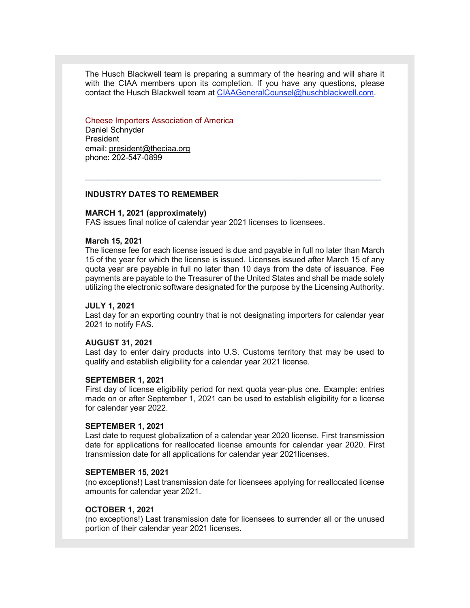The Husch Blackwell team is preparing a summary of the hearing and will share it with the CIAA members upon its completion. If you have any questions, please contact the Husch Blackwell team at [CIAAGeneralCounsel@huschblackwell.com.](mailto:CIAAGeneralCounsel@huschblackwell.com)

### Cheese Importers Association of America

Daniel Schnyder President email: president@theciaa.org phone: 202-547-0899

# **INDUSTRY DATES TO REMEMBER**

#### **MARCH 1, 2021 (approximately)**

FAS issues final notice of calendar year 2021 licenses to licensees.

# **March 15, 2021**

The license fee for each license issued is due and payable in full no later than March 15 of the year for which the license is issued. Licenses issued after March 15 of any quota year are payable in full no later than 10 days from the date of issuance. Fee payments are payable to the Treasurer of the United States and shall be made solely utilizing the electronic software designated for the purpose by the Licensing Authority.

 $\mathcal{L}_\mathcal{L} = \{ \mathcal{L}_\mathcal{L} = \{ \mathcal{L}_\mathcal{L} = \{ \mathcal{L}_\mathcal{L} = \{ \mathcal{L}_\mathcal{L} = \{ \mathcal{L}_\mathcal{L} = \{ \mathcal{L}_\mathcal{L} = \{ \mathcal{L}_\mathcal{L} = \{ \mathcal{L}_\mathcal{L} = \{ \mathcal{L}_\mathcal{L} = \{ \mathcal{L}_\mathcal{L} = \{ \mathcal{L}_\mathcal{L} = \{ \mathcal{L}_\mathcal{L} = \{ \mathcal{L}_\mathcal{L} = \{ \mathcal{L}_\mathcal{$ 

#### **JULY 1, 2021**

Last day for an exporting country that is not designating importers for calendar year 2021 to notify FAS.

#### **AUGUST 31, 2021**

Last day to enter dairy products into U.S. Customs territory that may be used to qualify and establish eligibility for a calendar year 2021 license.

#### **SEPTEMBER 1, 2021**

First day of license eligibility period for next quota year-plus one. Example: entries made on or after September 1, 2021 can be used to establish eligibility for a license for calendar year 2022.

#### **SEPTEMBER 1, 2021**

Last date to request globalization of a calendar year 2020 license. First transmission date for applications for reallocated license amounts for calendar year 2020. First transmission date for all applications for calendar year 2021licenses.

#### **SEPTEMBER 15, 2021**

(no exceptions!) Last transmission date for licensees applying for reallocated license amounts for calendar year 2021.

### **OCTOBER 1, 2021**

(no exceptions!) Last transmission date for licensees to surrender all or the unused portion of their calendar year 2021 licenses.